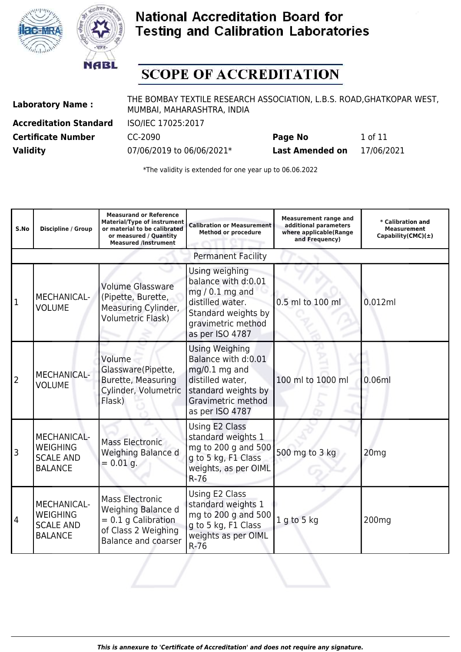



# **SCOPE OF ACCREDITATION**

**Laboratory Name :** THE BOMBAY TEXTILE RESEARCH ASSOCIATION, L.B.S. ROAD,GHATKOPAR WEST, MUMBAI, MAHARASHTRA, INDIA

**Accreditation Standard** ISO/IEC 17025:2017

**Certificate Number CC-2090 Page No** 1 of 11 **Validity** 07/06/2019 to 06/06/2021\* **Last Amended on** 17/06/2021

| S.No           | Discipline / Group                                                          | <b>Measurand or Reference</b><br><b>Material/Type of instrument</b><br>or material to be calibrated<br>or measured / Quantity<br><b>Measured /Instrument</b> | <b>Calibration or Measurement</b><br><b>Method or procedure</b>                                                                                   | <b>Measurement range and</b><br>additional parameters<br>where applicable(Range<br>and Frequency) | * Calibration and<br><b>Measurement</b><br>$Capability(CMC)(\pm)$ |
|----------------|-----------------------------------------------------------------------------|--------------------------------------------------------------------------------------------------------------------------------------------------------------|---------------------------------------------------------------------------------------------------------------------------------------------------|---------------------------------------------------------------------------------------------------|-------------------------------------------------------------------|
|                |                                                                             |                                                                                                                                                              | <b>Permanent Facility</b>                                                                                                                         |                                                                                                   |                                                                   |
| 1              | MECHANICAL-<br><b>VOLUME</b>                                                | <b>Volume Glassware</b><br>(Pipette, Burette,<br>Measuring Cylinder,<br><b>Volumetric Flask)</b>                                                             | Using weighing<br>balance with d:0.01<br>$mg/0.1 mg$ and<br>distilled water.<br>Standard weights by<br>gravimetric method<br>as per ISO 4787      | 0.5 ml to 100 ml                                                                                  | 0.012ml                                                           |
| 2              | <b>MECHANICAL-</b><br><b>VOLUME</b>                                         | Volume<br>Glassware(Pipette,<br>Burette, Measuring<br>Cylinder, Volumetric<br>Flask)                                                                         | <b>Using Weighing</b><br>Balance with d:0.01<br>mg/0.1 mg and<br>distilled water,<br>standard weights by<br>Gravimetric method<br>as per ISO 4787 | 100 ml to 1000 ml                                                                                 | 0.06ml                                                            |
| l3             | <b>MECHANICAL-</b><br><b>WEIGHING</b><br><b>SCALE AND</b><br><b>BALANCE</b> | <b>Mass Electronic</b><br>Weighing Balance d<br>$= 0.01$ g.                                                                                                  | Using E2 Class<br>standard weights 1<br>mg to 200 g and 500<br>g to 5 kg, F1 Class<br>weights, as per OIML<br>$R-76$                              | 500 mg to 3 kg                                                                                    | 20 <sub>mg</sub>                                                  |
| $\overline{4}$ | <b>MECHANICAL-</b><br><b>WEIGHING</b><br><b>SCALE AND</b><br><b>BALANCE</b> | <b>Mass Electronic</b><br>Weighing Balance d<br>$= 0.1$ g Calibration<br>of Class 2 Weighing<br><b>Balance and coarser</b>                                   | Using E2 Class<br>standard weights 1<br>mg to 200 g and 500<br>g to 5 kg, F1 Class<br>weights as per OIML<br>$R-76$                               | 1 g to 5 kg                                                                                       | 200 <sub>mg</sub>                                                 |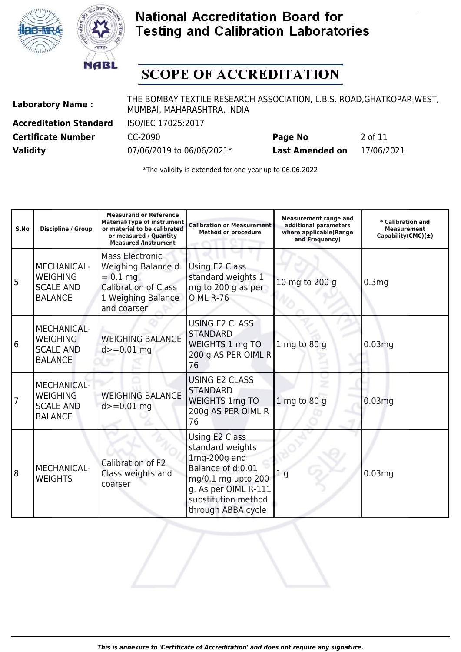



# **SCOPE OF ACCREDITATION**

**Laboratory Name :** THE BOMBAY TEXTILE RESEARCH ASSOCIATION, L.B.S. ROAD,GHATKOPAR WEST, MUMBAI, MAHARASHTRA, INDIA

**Accreditation Standard** ISO/IEC 17025:2017

**Certificate Number** CC-2090 **Page No** 2 of 11 **Validity** 07/06/2019 to 06/06/2021\* **Last Amended on** 17/06/2021

| S.No | Discipline / Group                                                          | <b>Measurand or Reference</b><br><b>Material/Type of instrument</b><br>or material to be calibrated<br>or measured / Quantity<br><b>Measured /Instrument</b> | <b>Calibration or Measurement</b><br><b>Method or procedure</b>                                                                                                      | <b>Measurement range and</b><br>additional parameters<br>where applicable(Range<br>and Frequency) | * Calibration and<br><b>Measurement</b><br>Capability(CMC) $(\pm)$ |
|------|-----------------------------------------------------------------------------|--------------------------------------------------------------------------------------------------------------------------------------------------------------|----------------------------------------------------------------------------------------------------------------------------------------------------------------------|---------------------------------------------------------------------------------------------------|--------------------------------------------------------------------|
| 5    | MECHANICAL-<br><b>WEIGHING</b><br><b>SCALE AND</b><br><b>BALANCE</b>        | <b>Mass Electronic</b><br>Weighing Balance d<br>$= 0.1$ mg.<br><b>Calibration of Class</b><br>1 Weighing Balance<br>and coarser                              | Using E2 Class<br>standard weights 1<br>mg to 200 g as per<br><b>OIML R-76</b>                                                                                       | 10 mg to 200 g                                                                                    | 0.3 <sub>mg</sub>                                                  |
| 6    | <b>MECHANICAL-</b><br><b>WEIGHING</b><br><b>SCALE AND</b><br><b>BALANCE</b> | <b>WEIGHING BALANCE</b><br>$d = 0.01$ mg                                                                                                                     | <b>USING E2 CLASS</b><br><b>STANDARD</b><br>WEIGHTS 1 mg TO<br>200 g AS PER OIML R<br>76                                                                             | 1 mg to 80 g                                                                                      | 0.03mg                                                             |
|      | <b>MECHANICAL-</b><br><b>WEIGHING</b><br><b>SCALE AND</b><br><b>BALANCE</b> | <b>WEIGHING BALANCE</b><br>$d = 0.01$ mg                                                                                                                     | <b>USING E2 CLASS</b><br><b>STANDARD</b><br><b>WEIGHTS 1mg TO</b><br>200g AS PER OIML R<br>76                                                                        | 1 mg to 80 g                                                                                      | 0.03mg                                                             |
| 8    | MECHANICAL-<br><b>WEIGHTS</b>                                               | Calibration of F2<br>Class weights and<br>coarser                                                                                                            | Using E2 Class<br>standard weights<br>$1mg-200g$ and<br>Balance of d:0.01<br>mg/0.1 mg upto 200<br>g. As per OIML R-111<br>substitution method<br>through ABBA cycle | 1 <sub>q</sub>                                                                                    | 0.03mg                                                             |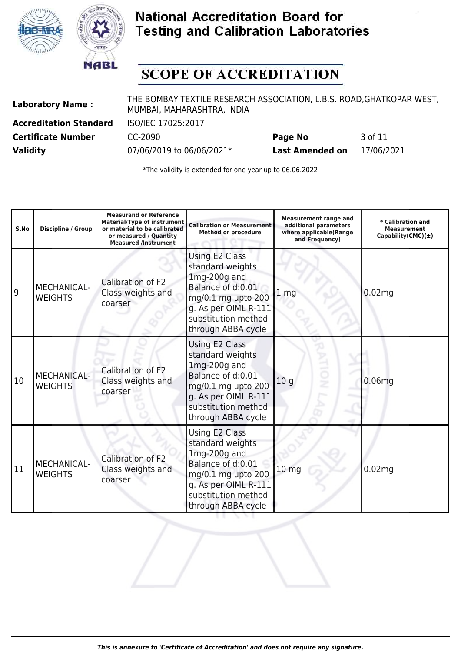



## **SCOPE OF ACCREDITATION**

**Laboratory Name :** THE BOMBAY TEXTILE RESEARCH ASSOCIATION, L.B.S. ROAD,GHATKOPAR WEST, MUMBAI, MAHARASHTRA, INDIA

**Accreditation Standard** ISO/IEC 17025:2017

**Certificate Number** CC-2090 **Page No** 3 of 11 **Validity** 07/06/2019 to 06/06/2021\* **Last Amended on** 17/06/2021

| S.No | Discipline / Group                   | <b>Measurand or Reference</b><br><b>Material/Type of instrument</b><br>or material to be calibrated<br>or measured / Ouantity<br><b>Measured /Instrument</b> | <b>Calibration or Measurement</b><br><b>Method or procedure</b>                                                                                                             | <b>Measurement range and</b><br>additional parameters<br>where applicable(Range<br>and Frequency) | * Calibration and<br><b>Measurement</b><br>Capability(CMC) $(\pm)$ |
|------|--------------------------------------|--------------------------------------------------------------------------------------------------------------------------------------------------------------|-----------------------------------------------------------------------------------------------------------------------------------------------------------------------------|---------------------------------------------------------------------------------------------------|--------------------------------------------------------------------|
| 9    | MECHANICAL-<br><b>WEIGHTS</b>        | Calibration of F2<br>Class weights and<br>coarser                                                                                                            | <b>Using E2 Class</b><br>standard weights<br>$1mg-200g$ and<br>Balance of d:0.01<br>mg/0.1 mg upto 200<br>g. As per OIML R-111<br>substitution method<br>through ABBA cycle | 1 <sub>mg</sub>                                                                                   | 0.02 <sub>mg</sub>                                                 |
| 10   | <b>MECHANICAL-</b><br><b>WEIGHTS</b> | Calibration of F2<br>Class weights and<br>coarser                                                                                                            | Using E2 Class<br>standard weights<br>$1mg-200g$ and<br>Balance of d:0.01<br>mg/0.1 mg upto 200<br>g. As per OIML R-111<br>substitution method<br>through ABBA cycle        | 10 <sub>g</sub>                                                                                   | 0.06 <sub>mg</sub>                                                 |
| 11   | MECHANICAL-<br><b>WEIGHTS</b>        | Calibration of F2<br>Class weights and<br>coarser                                                                                                            | Using E2 Class<br>standard weights<br>$1mg-200g$ and<br>Balance of d:0.01<br>mg/0.1 mg upto 200<br>g. As per OIML R-111<br>substitution method<br>through ABBA cycle        | 10 <sub>mg</sub>                                                                                  | 0.02 <sub>mg</sub>                                                 |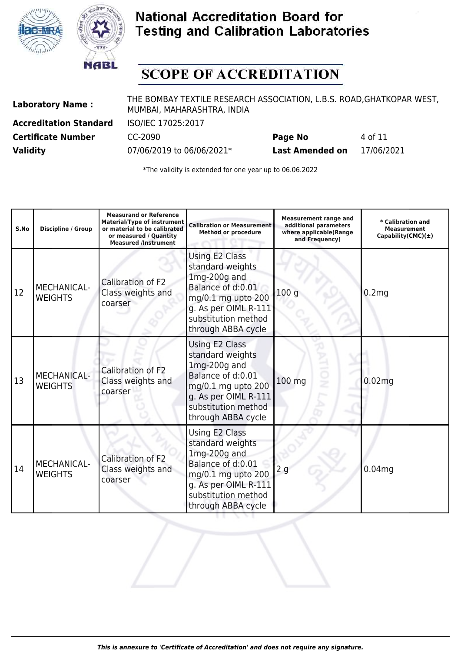



## **SCOPE OF ACCREDITATION**

**Laboratory Name :** THE BOMBAY TEXTILE RESEARCH ASSOCIATION, L.B.S. ROAD,GHATKOPAR WEST, MUMBAI, MAHARASHTRA, INDIA

**Accreditation Standard** ISO/IEC 17025:2017

**Certificate Number CC-2090 Page No** 4 of 11 **Validity** 07/06/2019 to 06/06/2021\* **Last Amended on** 17/06/2021

| S.No | <b>Discipline / Group</b>            | <b>Measurand or Reference</b><br><b>Material/Type of instrument</b><br>or material to be calibrated<br>or measured / Quantity<br><b>Measured /Instrument</b> | <b>Calibration or Measurement</b><br><b>Method or procedure</b>                                                                                                      | <b>Measurement range and</b><br>additional parameters<br>where applicable(Range<br>and Frequency) | * Calibration and<br><b>Measurement</b><br>Capability(CMC) $(\pm)$ |
|------|--------------------------------------|--------------------------------------------------------------------------------------------------------------------------------------------------------------|----------------------------------------------------------------------------------------------------------------------------------------------------------------------|---------------------------------------------------------------------------------------------------|--------------------------------------------------------------------|
| 12   | MECHANICAL-<br><b>WEIGHTS</b>        | Calibration of F2<br>Class weights and<br>coarser                                                                                                            | Using E2 Class<br>standard weights<br>$1mg-200g$ and<br>Balance of d:0.01<br>mg/0.1 mg upto 200<br>g. As per OIML R-111<br>substitution method<br>through ABBA cycle | 100q                                                                                              | 0.2mg                                                              |
| 13   | <b>MECHANICAL-</b><br><b>WEIGHTS</b> | Calibration of F2<br>Class weights and<br>coarser                                                                                                            | Using E2 Class<br>standard weights<br>$1mg-200g$ and<br>Balance of d:0.01<br>mg/0.1 mg upto 200<br>g. As per OIML R-111<br>substitution method<br>through ABBA cycle | $100$ mg                                                                                          | 0.02 <sub>mg</sub>                                                 |
| 14   | MECHANICAL-<br><b>WEIGHTS</b>        | Calibration of F2<br>Class weights and<br>coarser                                                                                                            | Using E2 Class<br>standard weights<br>$1mg-200g$ and<br>Balance of d:0.01<br>mg/0.1 mg upto 200<br>g. As per OIML R-111<br>substitution method<br>through ABBA cycle | 2g                                                                                                | 0.04 <sub>mg</sub>                                                 |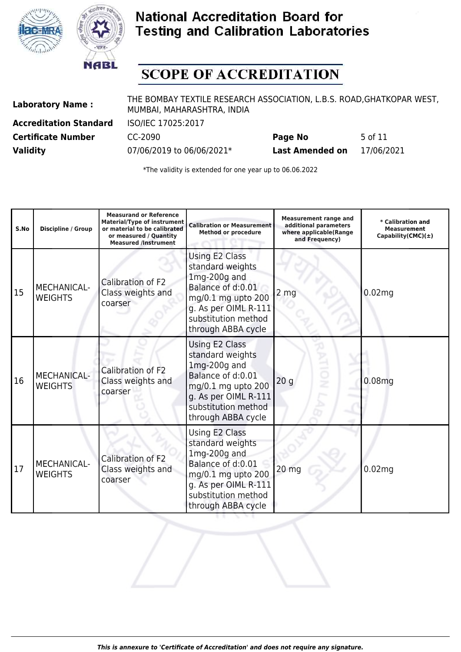



## **SCOPE OF ACCREDITATION**

**Laboratory Name :** THE BOMBAY TEXTILE RESEARCH ASSOCIATION, L.B.S. ROAD,GHATKOPAR WEST, MUMBAI, MAHARASHTRA, INDIA

**Accreditation Standard** ISO/IEC 17025:2017

**Certificate Number** CC-2090 **Page No** 5 of 11 **Validity** 07/06/2019 to 06/06/2021\* **Last Amended on** 17/06/2021

| S.No | <b>Discipline / Group</b>            | <b>Measurand or Reference</b><br><b>Material/Type of instrument</b><br>or material to be calibrated<br>or measured / Ouantity<br><b>Measured /Instrument</b> | <b>Calibration or Measurement</b><br><b>Method or procedure</b>                                                                                                      | <b>Measurement range and</b><br>additional parameters<br>where applicable(Range<br>and Frequency) | * Calibration and<br><b>Measurement</b><br>Capability(CMC) $(\pm)$ |
|------|--------------------------------------|--------------------------------------------------------------------------------------------------------------------------------------------------------------|----------------------------------------------------------------------------------------------------------------------------------------------------------------------|---------------------------------------------------------------------------------------------------|--------------------------------------------------------------------|
| 15   | MECHANICAL-<br><b>WEIGHTS</b>        | Calibration of F2<br>Class weights and<br>coarser                                                                                                            | Using E2 Class<br>standard weights<br>$1mg-200g$ and<br>Balance of d:0.01<br>mg/0.1 mg upto 200<br>g. As per OIML R-111<br>substitution method<br>through ABBA cycle | 2 <sub>mg</sub>                                                                                   | 0.02 <sub>mg</sub>                                                 |
| 16   | <b>MECHANICAL-</b><br><b>WEIGHTS</b> | Calibration of F2<br>Class weights and<br>coarser                                                                                                            | Using E2 Class<br>standard weights<br>$1mg-200g$ and<br>Balance of d:0.01<br>mg/0.1 mg upto 200<br>g. As per OIML R-111<br>substitution method<br>through ABBA cycle | 20 <sub>g</sub>                                                                                   | 0.08 <sub>mg</sub>                                                 |
| 17   | MECHANICAL-<br><b>WEIGHTS</b>        | Calibration of F2<br>Class weights and<br>coarser                                                                                                            | Using E2 Class<br>standard weights<br>$1mg-200g$ and<br>Balance of d:0.01<br>mg/0.1 mg upto 200<br>g. As per OIML R-111<br>substitution method<br>through ABBA cycle | 20 mg                                                                                             | 0.02 <sub>mg</sub>                                                 |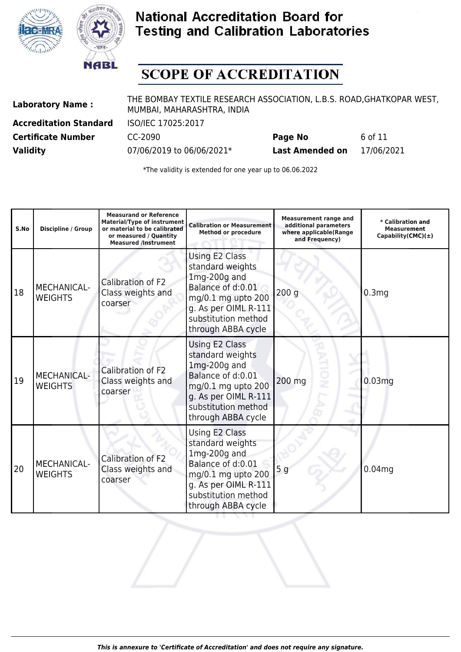



## **SCOPE OF ACCREDITATION**

**Laboratory Name :** THE BOMBAY TEXTILE RESEARCH ASSOCIATION, L.B.S. ROAD,GHATKOPAR WEST, MUMBAI, MAHARASHTRA, INDIA

**Accreditation Standard** ISO/IEC 17025:2017

**Certificate Number CC-2090 Page No** 6 of 11 **Validity** 07/06/2019 to 06/06/2021\* **Last Amended on** 17/06/2021

| S.No | Discipline / Group                   | <b>Measurand or Reference</b><br><b>Material/Type of instrument</b><br>or material to be calibrated<br>or measured / Quantity<br><b>Measured /Instrument</b> | <b>Calibration or Measurement</b><br><b>Method or procedure</b>                                                                                                      | <b>Measurement range and</b><br>additional parameters<br>where applicable(Range<br>and Frequency) | * Calibration and<br><b>Measurement</b><br>Capability(CMC) $(\pm)$ |
|------|--------------------------------------|--------------------------------------------------------------------------------------------------------------------------------------------------------------|----------------------------------------------------------------------------------------------------------------------------------------------------------------------|---------------------------------------------------------------------------------------------------|--------------------------------------------------------------------|
| 18   | <b>MECHANICAL-</b><br><b>WEIGHTS</b> | Calibration of F2<br>Class weights and<br>coarser                                                                                                            | Using E2 Class<br>standard weights<br>1mg-200g and<br>Balance of d:0.01<br>mg/0.1 mg upto 200<br>g. As per OIML R-111<br>substitution method<br>through ABBA cycle   | 200q                                                                                              | 0.3mg                                                              |
| 19   | <b>MECHANICAL-</b><br><b>WEIGHTS</b> | Calibration of F2<br>Class weights and<br>coarser                                                                                                            | Using E2 Class<br>standard weights<br>$1mg-200g$ and<br>Balance of d:0.01<br>mg/0.1 mg upto 200<br>g. As per OIML R-111<br>substitution method<br>through ABBA cycle | 200 mg                                                                                            | 0.03mg                                                             |
| 20   | MECHANICAL-<br><b>WEIGHTS</b>        | Calibration of F2<br>Class weights and<br>coarser                                                                                                            | Using E2 Class<br>standard weights<br>$1mg-200g$ and<br>Balance of d:0.01<br>mg/0.1 mg upto 200<br>g. As per OIML R-111<br>substitution method<br>through ABBA cycle | 5 <sub>g</sub>                                                                                    | 0.04 <sub>mg</sub>                                                 |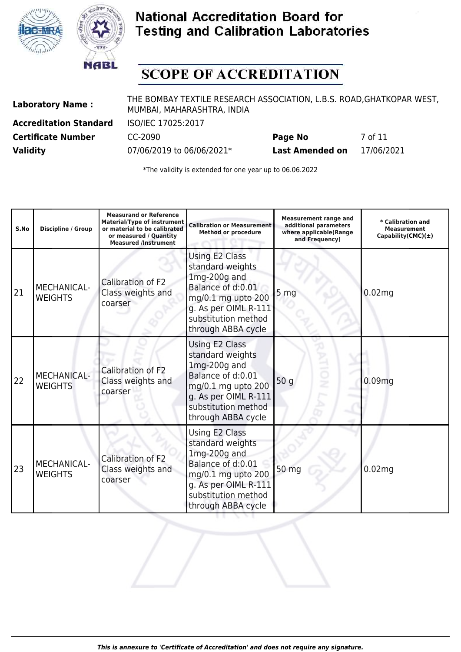



# **SCOPE OF ACCREDITATION**

**Laboratory Name :** THE BOMBAY TEXTILE RESEARCH ASSOCIATION, L.B.S. ROAD,GHATKOPAR WEST, MUMBAI, MAHARASHTRA, INDIA

**Accreditation Standard** ISO/IEC 17025:2017

**Certificate Number CC-2090 Page No** 7 of 11 **Validity** 07/06/2019 to 06/06/2021\* **Last Amended on** 17/06/2021

| S.No | Discipline / Group                   | <b>Measurand or Reference</b><br><b>Material/Type of instrument</b><br>or material to be calibrated<br>or measured / Ouantity<br><b>Measured /Instrument</b> | <b>Calibration or Measurement</b><br><b>Method or procedure</b>                                                                                                             | <b>Measurement range and</b><br>additional parameters<br>where applicable(Range<br>and Frequency) | * Calibration and<br><b>Measurement</b><br>Capability(CMC) $(\pm)$ |
|------|--------------------------------------|--------------------------------------------------------------------------------------------------------------------------------------------------------------|-----------------------------------------------------------------------------------------------------------------------------------------------------------------------------|---------------------------------------------------------------------------------------------------|--------------------------------------------------------------------|
| 21   | MECHANICAL-<br><b>WEIGHTS</b>        | Calibration of F2<br>Class weights and<br>coarser                                                                                                            | <b>Using E2 Class</b><br>standard weights<br>$1mg-200g$ and<br>Balance of d:0.01<br>mg/0.1 mg upto 200<br>g. As per OIML R-111<br>substitution method<br>through ABBA cycle | 5 <sub>mg</sub>                                                                                   | 0.02 <sub>mg</sub>                                                 |
| 22   | <b>MECHANICAL-</b><br><b>WEIGHTS</b> | Calibration of F2<br>Class weights and<br>coarser                                                                                                            | Using E2 Class<br>standard weights<br>$1mg-200g$ and<br>Balance of d:0.01<br>mg/0.1 mg upto 200<br>g. As per OIML R-111<br>substitution method<br>through ABBA cycle        | 50 <sub>g</sub>                                                                                   | 0.09 <sub>mg</sub>                                                 |
| 23   | MECHANICAL-<br><b>WEIGHTS</b>        | Calibration of F2<br>Class weights and<br>coarser                                                                                                            | Using E2 Class<br>standard weights<br>$1mg-200g$ and<br>Balance of d:0.01<br>mg/0.1 mg upto 200<br>g. As per OIML R-111<br>substitution method<br>through ABBA cycle        | 50 mg                                                                                             | 0.02 <sub>mg</sub>                                                 |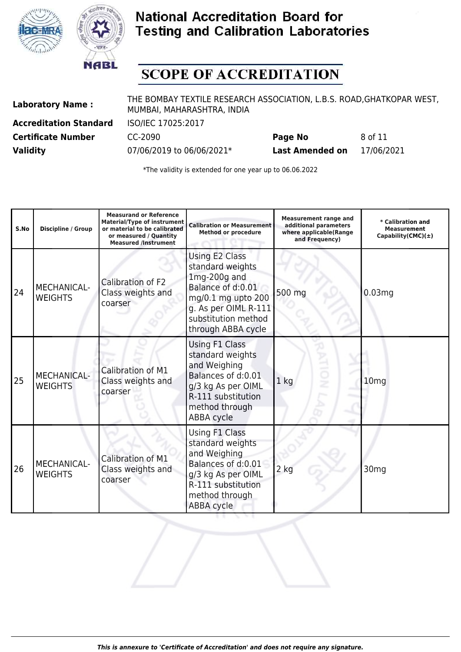



## **SCOPE OF ACCREDITATION**

**Laboratory Name :** THE BOMBAY TEXTILE RESEARCH ASSOCIATION, L.B.S. ROAD,GHATKOPAR WEST, MUMBAI, MAHARASHTRA, INDIA

**Accreditation Standard** ISO/IEC 17025:2017

**Certificate Number CC-2090 Page No** 8 of 11 **Validity** 07/06/2019 to 06/06/2021\* **Last Amended on** 17/06/2021

| S.No | <b>Discipline / Group</b>            | <b>Measurand or Reference</b><br><b>Material/Type of instrument</b><br>or material to be calibrated<br>or measured / Quantity<br><b>Measured /Instrument</b> | <b>Calibration or Measurement</b><br><b>Method or procedure</b>                                                                                                    | <b>Measurement range and</b><br>additional parameters<br>where applicable(Range<br>and Frequency) | * Calibration and<br><b>Measurement</b><br>Capability(CMC) $(\pm)$ |
|------|--------------------------------------|--------------------------------------------------------------------------------------------------------------------------------------------------------------|--------------------------------------------------------------------------------------------------------------------------------------------------------------------|---------------------------------------------------------------------------------------------------|--------------------------------------------------------------------|
| 24   | MECHANICAL-<br><b>WEIGHTS</b>        | Calibration of F2<br>Class weights and<br>coarser                                                                                                            | Using E2 Class<br>standard weights<br>1mg-200g and<br>Balance of d:0.01<br>mg/0.1 mg upto 200<br>g. As per OIML R-111<br>substitution method<br>through ABBA cycle | 500 mg                                                                                            | 0.03mg                                                             |
| 25   | <b>MECHANICAL-</b><br><b>WEIGHTS</b> | Calibration of M1<br>Class weights and<br>coarser                                                                                                            | Using F1 Class<br>standard weights<br>and Weighing<br>Balances of d:0.01<br>g/3 kg As per OIML<br>R-111 substitution<br>method through<br>ABBA cycle               | 1 <sub>kg</sub>                                                                                   | 10 <sub>mg</sub>                                                   |
| 26   | MECHANICAL-<br><b>WEIGHTS</b>        | Calibration of M1<br>Class weights and<br>coarser                                                                                                            | Using F1 Class<br>standard weights<br>and Weighing<br>Balances of d:0.01<br>g/3 kg As per OIML<br>R-111 substitution<br>method through<br><b>ABBA cycle</b>        | 2 kg                                                                                              | 30 <sub>mg</sub>                                                   |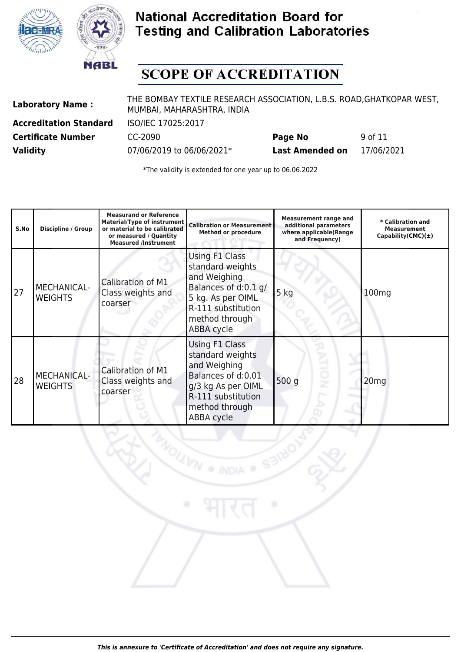



# **SCOPE OF ACCREDITATION**

**Laboratory Name :** THE BOMBAY TEXTILE RESEARCH ASSOCIATION, L.B.S. ROAD,GHATKOPAR WEST, MUMBAI, MAHARASHTRA, INDIA

**Accreditation Standard** ISO/IEC 17025:2017

**Certificate Number** CC-2090 **Page No** 9 of 11 **Validity** 07/06/2019 to 06/06/2021\* **Last Amended on** 17/06/2021

| S.No | <b>Discipline / Group</b>            | <b>Measurand or Reference</b><br><b>Material/Type of instrument</b><br>or material to be calibrated<br>or measured / Quantity<br><b>Measured /Instrument</b> | <b>Calibration or Measurement</b><br><b>Method or procedure</b>                                                                                              | <b>Measurement range and</b><br>additional parameters<br>where applicable(Range<br>and Frequency) | * Calibration and<br><b>Measurement</b><br>Capability(CMC) $(\pm)$ |
|------|--------------------------------------|--------------------------------------------------------------------------------------------------------------------------------------------------------------|--------------------------------------------------------------------------------------------------------------------------------------------------------------|---------------------------------------------------------------------------------------------------|--------------------------------------------------------------------|
| 27   | <b>MECHANICAL-</b><br><b>WEIGHTS</b> | Calibration of M1<br>Class weights and<br>coarser                                                                                                            | Using F1 Class<br>standard weights<br>and Weighing<br>Balances of d:0.1 g/<br>5 kg. As per OIML<br>R-111 substitution<br>method through<br><b>ABBA</b> cycle | $5$ kg                                                                                            | 100 <sub>mg</sub>                                                  |
| 28   | <b>MECHANICAL-</b><br><b>WEIGHTS</b> | Calibration of M1<br>Class weights and<br>coarser                                                                                                            | Using F1 Class<br>standard weights<br>and Weighing<br>Balances of d:0.01<br>g/3 kg As per OIML<br>R-111 substitution<br>method through<br><b>ABBA</b> cycle  | 500 g<br>ż                                                                                        | 20 <sub>mg</sub>                                                   |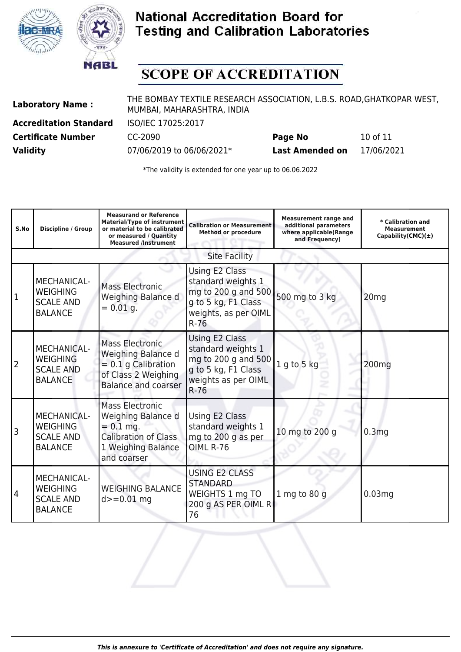



## **SCOPE OF ACCREDITATION**

**Laboratory Name :** THE BOMBAY TEXTILE RESEARCH ASSOCIATION, L.B.S. ROAD,GHATKOPAR WEST, MUMBAI, MAHARASHTRA, INDIA

**Accreditation Standard** ISO/IEC 17025:2017

**Certificate Number** CC-2090 **Page No** 10 of 11 **Validity** 07/06/2019 to 06/06/2021\* **Last Amended on** 17/06/2021

| S.No      | <b>Discipline / Group</b>                                                   | <b>Measurand or Reference</b><br><b>Material/Type of instrument</b><br>or material to be calibrated<br>or measured / Quantity<br><b>Measured /Instrument</b> | <b>Calibration or Measurement</b><br><b>Method or procedure</b>                                                      | <b>Measurement range and</b><br>additional parameters<br>where applicable(Range<br>and Frequency) | $\ast$ Calibration and<br><b>Measurement</b><br>Capability(CMC) $(\pm)$ |
|-----------|-----------------------------------------------------------------------------|--------------------------------------------------------------------------------------------------------------------------------------------------------------|----------------------------------------------------------------------------------------------------------------------|---------------------------------------------------------------------------------------------------|-------------------------------------------------------------------------|
|           |                                                                             |                                                                                                                                                              | <b>Site Facility</b>                                                                                                 |                                                                                                   |                                                                         |
| $\vert$ 1 | <b>MECHANICAL-</b><br><b>WEIGHING</b><br><b>SCALE AND</b><br><b>BALANCE</b> | <b>Mass Electronic</b><br>Weighing Balance d<br>$= 0.01$ g.                                                                                                  | Using E2 Class<br>standard weights 1<br>mg to 200 g and 500<br>g to 5 kg, F1 Class<br>weights, as per OIML<br>$R-76$ | 500 mg to 3 kg                                                                                    | 20mg                                                                    |
| 2         | <b>MECHANICAL-</b><br><b>WEIGHING</b><br><b>SCALE AND</b><br><b>BALANCE</b> | <b>Mass Electronic</b><br>Weighing Balance d<br>$= 0.1$ g Calibration<br>of Class 2 Weighing<br><b>Balance and coarser</b>                                   | Using E2 Class<br>standard weights 1<br>mg to 200 g and 500<br>g to 5 kg, F1 Class<br>weights as per OIML<br>$R-76$  | 1 g to 5 kg                                                                                       | 200 <sub>mg</sub>                                                       |
| 3         | <b>MECHANICAL-</b><br><b>WEIGHING</b><br><b>SCALE AND</b><br><b>BALANCE</b> | <b>Mass Electronic</b><br>Weighing Balance d<br>$= 0.1$ mg.<br><b>Calibration of Class</b><br>1 Weighing Balance<br>and coarser                              | Using E2 Class<br>standard weights 1<br>mg to 200 g as per<br>OIML R-76                                              | 10 mg to 200 g                                                                                    | 0.3 <sub>mg</sub>                                                       |
| 4         | <b>MECHANICAL-</b><br><b>WEIGHING</b><br><b>SCALE AND</b><br><b>BALANCE</b> | <b>WEIGHING BALANCE</b><br>$d = 0.01$ mg                                                                                                                     | USING E2 CLASS<br><b>STANDARD</b><br>WEIGHTS 1 mg TO<br>200 g AS PER OIML R<br>76                                    | $1$ mg to 80 g                                                                                    | 0.03 <sub>mg</sub>                                                      |